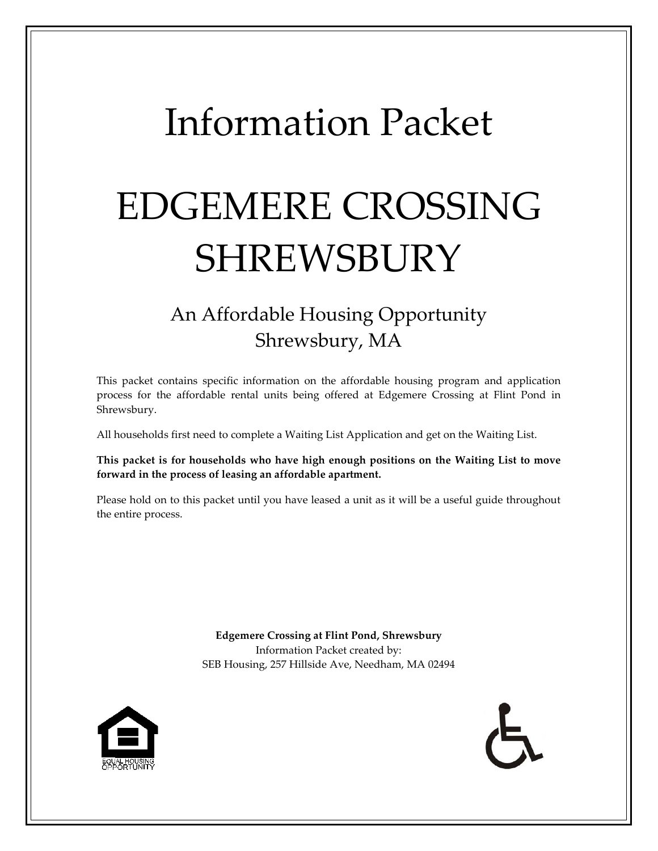# Information Packet

# EDGEMERE CROSSING SHREWSBURY

# An Affordable Housing Opportunity Shrewsbury, MA

This packet contains specific information on the affordable housing program and application process for the affordable rental units being offered at Edgemere Crossing at Flint Pond in Shrewsbury.

All households first need to complete a Waiting List Application and get on the Waiting List.

**This packet is for households who have high enough positions on the Waiting List to move forward in the process of leasing an affordable apartment.**

Please hold on to this packet until you have leased a unit as it will be a useful guide throughout the entire process.

> **Edgemere Crossing at Flint Pond, Shrewsbury** Information Packet created by: SEB Housing, 257 Hillside Ave, Needham, MA 02494



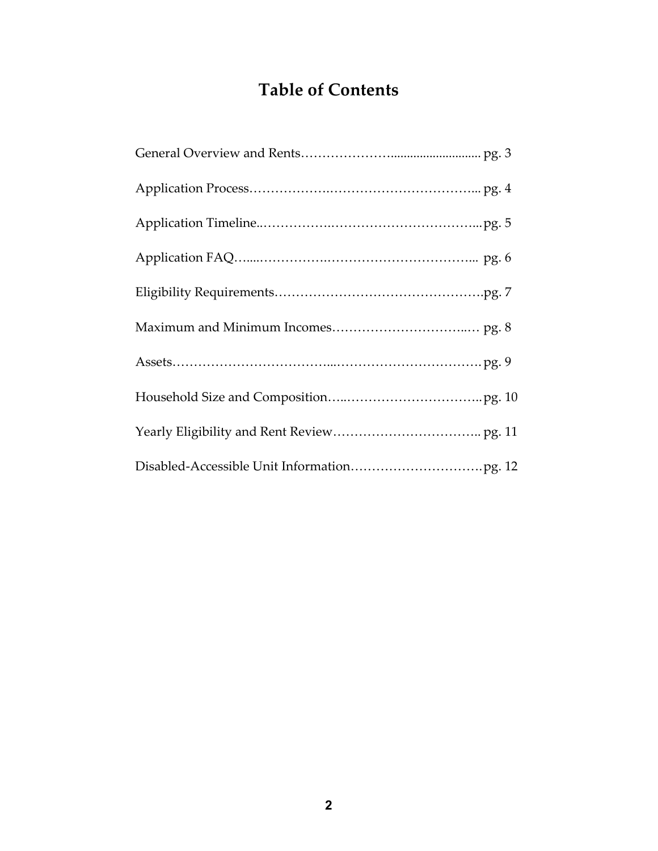# **Table of Contents**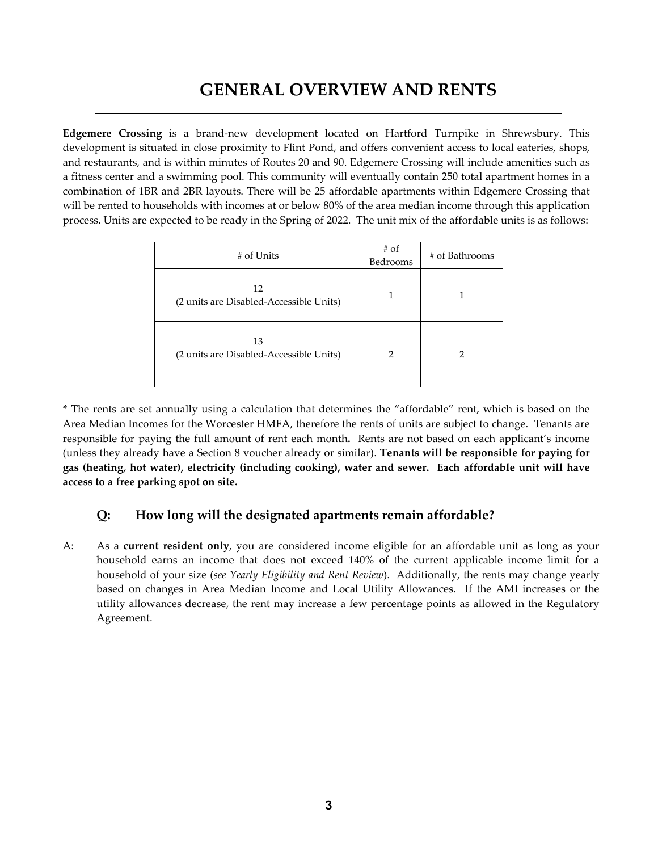## **GENERAL OVERVIEW AND RENTS**

**Edgemere Crossing** is a brand-new development located on Hartford Turnpike in Shrewsbury. This development is situated in close proximity to Flint Pond, and offers convenient access to local eateries, shops, and restaurants, and is within minutes of Routes 20 and 90. Edgemere Crossing will include amenities such as a fitness center and a swimming pool. This community will eventually contain 250 total apartment homes in a combination of 1BR and 2BR layouts. There will be 25 affordable apartments within Edgemere Crossing that will be rented to households with incomes at or below 80% of the area median income through this application process. Units are expected to be ready in the Spring of 2022. The unit mix of the affordable units is as follows:

| # of Units                                    | $#$ of<br>Bedrooms | # of Bathrooms |
|-----------------------------------------------|--------------------|----------------|
| 12<br>(2 units are Disabled-Accessible Units) |                    |                |
| 13<br>(2 units are Disabled-Accessible Units) | 2                  |                |

**\*** The rents are set annually using a calculation that determines the "affordable" rent, which is based on the Area Median Incomes for the Worcester HMFA, therefore the rents of units are subject to change. Tenants are responsible for paying the full amount of rent each month**.** Rents are not based on each applicant's income (unless they already have a Section 8 voucher already or similar). **Tenants will be responsible for paying for gas (heating, hot water), electricity (including cooking), water and sewer. Each affordable unit will have access to a free parking spot on site.** 

#### **Q: How long will the designated apartments remain affordable?**

A: As a **current resident only**, you are considered income eligible for an affordable unit as long as your household earns an income that does not exceed 140% of the current applicable income limit for a household of your size (*see Yearly Eligibility and Rent Review*). Additionally, the rents may change yearly based on changes in Area Median Income and Local Utility Allowances. If the AMI increases or the utility allowances decrease, the rent may increase a few percentage points as allowed in the Regulatory Agreement.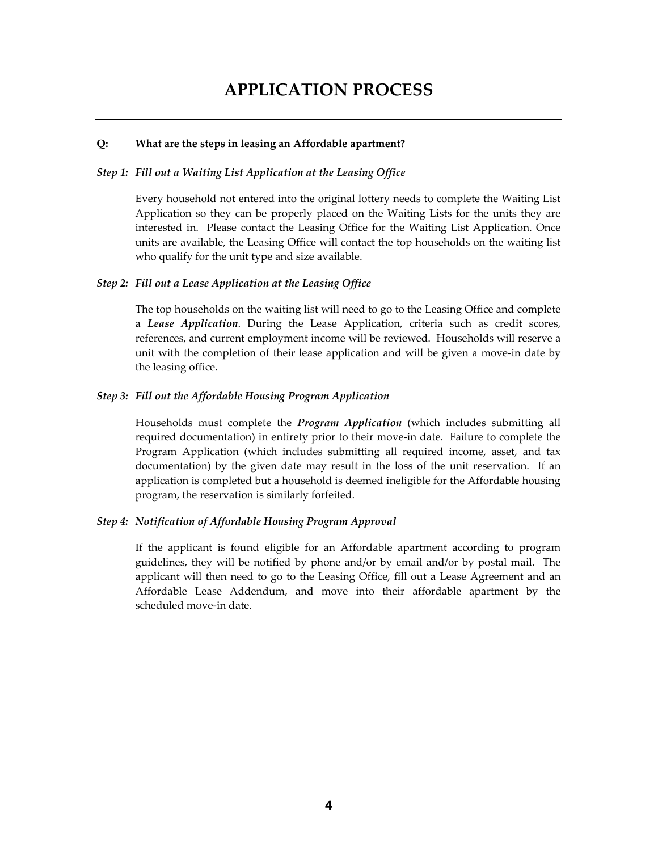## **APPLICATION PROCESS**

#### **Q: What are the steps in leasing an Affordable apartment?**

#### *Step 1: Fill out a Waiting List Application at the Leasing Office*

Every household not entered into the original lottery needs to complete the Waiting List Application so they can be properly placed on the Waiting Lists for the units they are interested in. Please contact the Leasing Office for the Waiting List Application. Once units are available, the Leasing Office will contact the top households on the waiting list who qualify for the unit type and size available.

#### *Step 2: Fill out a Lease Application at the Leasing Office*

The top households on the waiting list will need to go to the Leasing Office and complete a *Lease Application*. During the Lease Application, criteria such as credit scores, references, and current employment income will be reviewed. Households will reserve a unit with the completion of their lease application and will be given a move-in date by the leasing office.

#### *Step 3: Fill out the Affordable Housing Program Application*

Households must complete the *Program Application* (which includes submitting all required documentation) in entirety prior to their move-in date. Failure to complete the Program Application (which includes submitting all required income, asset, and tax documentation) by the given date may result in the loss of the unit reservation. If an application is completed but a household is deemed ineligible for the Affordable housing program, the reservation is similarly forfeited.

#### *Step 4: Notification of Affordable Housing Program Approval*

If the applicant is found eligible for an Affordable apartment according to program guidelines, they will be notified by phone and/or by email and/or by postal mail. The applicant will then need to go to the Leasing Office, fill out a Lease Agreement and an Affordable Lease Addendum, and move into their affordable apartment by the scheduled move-in date.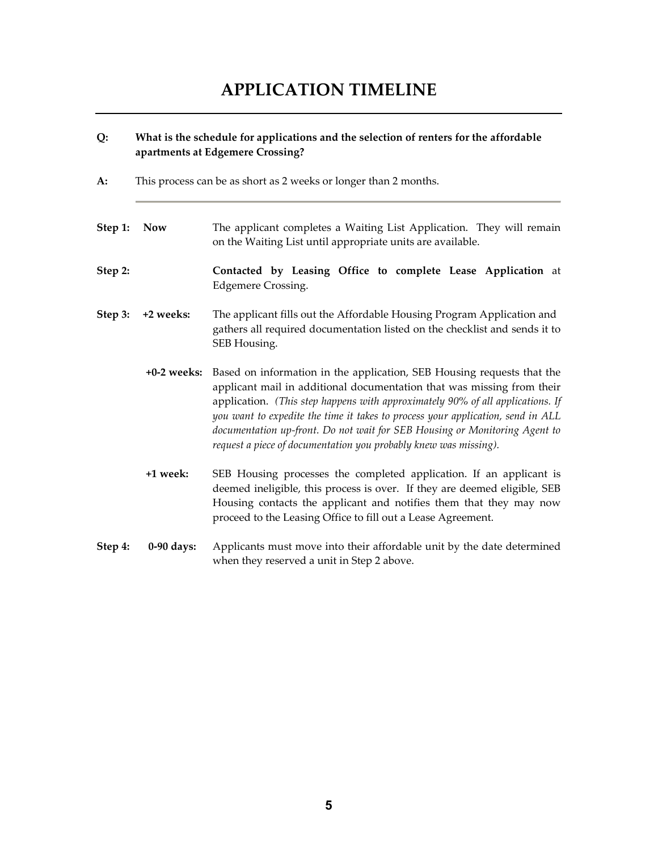# **APPLICATION TIMELINE**

#### **Q: What is the schedule for applications and the selection of renters for the affordable apartments at Edgemere Crossing?**

- **A:** This process can be as short as 2 weeks or longer than 2 months.
- **Step 1:** Now The applicant completes a Waiting List Application. They will remain on the Waiting List until appropriate units are available.
- **Step 2: Contacted by Leasing Office to complete Lease Application** at Edgemere Crossing.
- **Step 3: +2 weeks:** The applicant fills out the Affordable Housing Program Application and gathers all required documentation listed on the checklist and sends it to SEB Housing.
	- **+0-2 weeks:** Based on information in the application, SEB Housing requests that the applicant mail in additional documentation that was missing from their application. *(This step happens with approximately 90% of all applications. If you want to expedite the time it takes to process your application, send in ALL documentation up-front. Do not wait for SEB Housing or Monitoring Agent to request a piece of documentation you probably knew was missing).*
	- **+1 week:** SEB Housing processes the completed application. If an applicant is deemed ineligible, this process is over. If they are deemed eligible, SEB Housing contacts the applicant and notifies them that they may now proceed to the Leasing Office to fill out a Lease Agreement.
- **Step 4: 0-90 days:** Applicants must move into their affordable unit by the date determined when they reserved a unit in Step 2 above.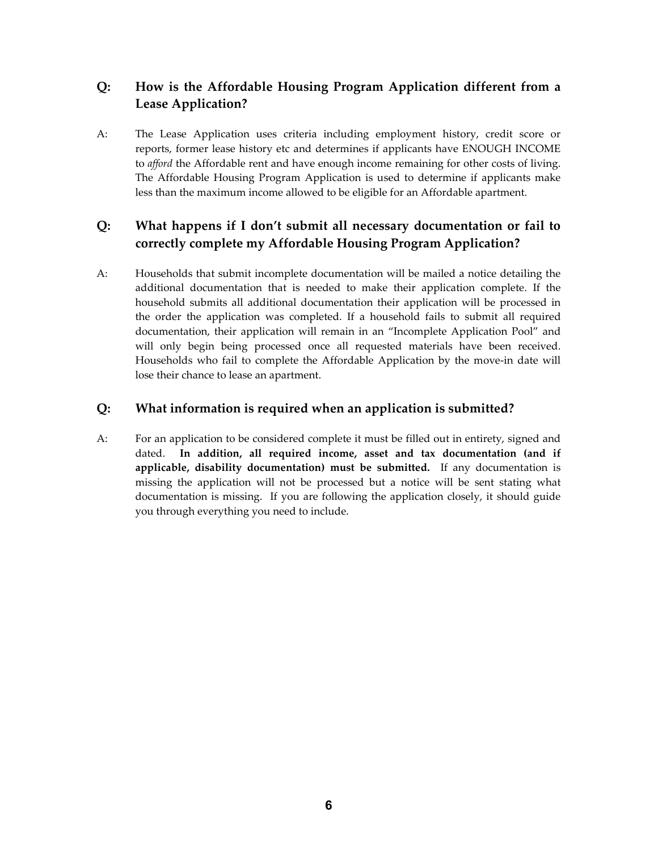#### **Q: How is the Affordable Housing Program Application different from a Lease Application?**

A: The Lease Application uses criteria including employment history, credit score or reports, former lease history etc and determines if applicants have ENOUGH INCOME to *afford* the Affordable rent and have enough income remaining for other costs of living. The Affordable Housing Program Application is used to determine if applicants make less than the maximum income allowed to be eligible for an Affordable apartment.

### **Q: What happens if I don't submit all necessary documentation or fail to correctly complete my Affordable Housing Program Application?**

A: Households that submit incomplete documentation will be mailed a notice detailing the additional documentation that is needed to make their application complete. If the household submits all additional documentation their application will be processed in the order the application was completed. If a household fails to submit all required documentation, their application will remain in an "Incomplete Application Pool" and will only begin being processed once all requested materials have been received. Households who fail to complete the Affordable Application by the move-in date will lose their chance to lease an apartment.

#### **Q: What information is required when an application is submitted?**

A: For an application to be considered complete it must be filled out in entirety, signed and dated. **In addition, all required income, asset and tax documentation (and if applicable, disability documentation) must be submitted.** If any documentation is missing the application will not be processed but a notice will be sent stating what documentation is missing. If you are following the application closely, it should guide you through everything you need to include.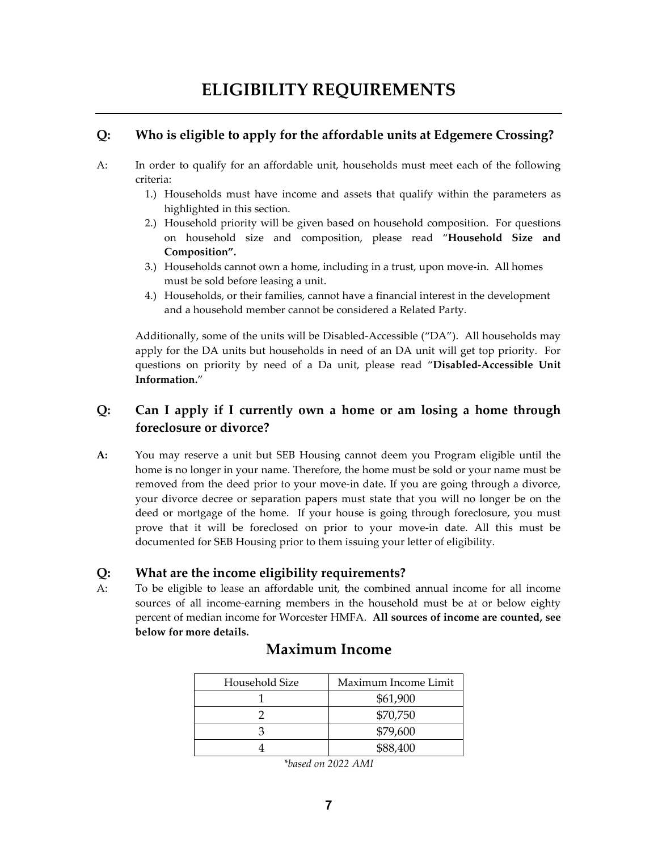# **ELIGIBILITY REQUIREMENTS**

#### **Q: Who is eligible to apply for the affordable units at Edgemere Crossing?**

- A: In order to qualify for an affordable unit, households must meet each of the following criteria:
	- 1.) Households must have income and assets that qualify within the parameters as highlighted in this section.
	- 2.) Household priority will be given based on household composition. For questions on household size and composition, please read "**Household Size and Composition".**
	- 3.) Households cannot own a home, including in a trust, upon move-in. All homes must be sold before leasing a unit.
	- 4.) Households, or their families, cannot have a financial interest in the development and a household member cannot be considered a Related Party.

Additionally, some of the units will be Disabled-Accessible ("DA"). All households may apply for the DA units but households in need of an DA unit will get top priority. For questions on priority by need of a Da unit, please read "**Disabled-Accessible Unit Information.**"

#### **Q: Can I apply if I currently own a home or am losing a home through foreclosure or divorce?**

**A:** You may reserve a unit but SEB Housing cannot deem you Program eligible until the home is no longer in your name. Therefore, the home must be sold or your name must be removed from the deed prior to your move-in date. If you are going through a divorce, your divorce decree or separation papers must state that you will no longer be on the deed or mortgage of the home. If your house is going through foreclosure, you must prove that it will be foreclosed on prior to your move-in date. All this must be documented for SEB Housing prior to them issuing your letter of eligibility.

#### **Q: What are the income eligibility requirements?**

A: To be eligible to lease an affordable unit, the combined annual income for all income sources of all income-earning members in the household must be at or below eighty percent of median income for Worcester HMFA. **All sources of income are counted, see below for more details.** 

| Household Size | Maximum Income Limit |
|----------------|----------------------|
|                | \$61,900             |
|                | \$70,750             |
|                | \$79,600             |
|                | \$88,400             |

## **Maximum Income**

*\*based on 2022 AMI*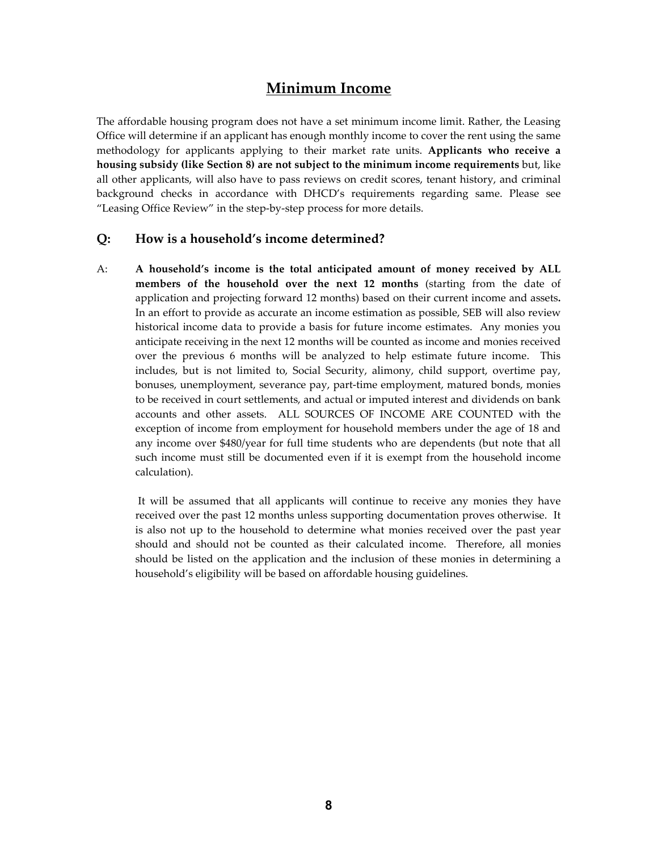## **Minimum Income**

The affordable housing program does not have a set minimum income limit. Rather, the Leasing Office will determine if an applicant has enough monthly income to cover the rent using the same methodology for applicants applying to their market rate units. **Applicants who receive a housing subsidy (like Section 8) are not subject to the minimum income requirements** but, like all other applicants, will also have to pass reviews on credit scores, tenant history, and criminal background checks in accordance with DHCD's requirements regarding same. Please see "Leasing Office Review" in the step-by-step process for more details.

#### **Q: How is a household's income determined?**

A: **A household's income is the total anticipated amount of money received by ALL members of the household over the next 12 months** (starting from the date of application and projecting forward 12 months) based on their current income and assets**.**  In an effort to provide as accurate an income estimation as possible, SEB will also review historical income data to provide a basis for future income estimates. Any monies you anticipate receiving in the next 12 months will be counted as income and monies received over the previous 6 months will be analyzed to help estimate future income. This includes, but is not limited to, Social Security, alimony, child support, overtime pay, bonuses, unemployment, severance pay, part-time employment, matured bonds, monies to be received in court settlements, and actual or imputed interest and dividends on bank accounts and other assets. ALL SOURCES OF INCOME ARE COUNTED with the exception of income from employment for household members under the age of 18 and any income over \$480/year for full time students who are dependents (but note that all such income must still be documented even if it is exempt from the household income calculation).

It will be assumed that all applicants will continue to receive any monies they have received over the past 12 months unless supporting documentation proves otherwise. It is also not up to the household to determine what monies received over the past year should and should not be counted as their calculated income. Therefore, all monies should be listed on the application and the inclusion of these monies in determining a household's eligibility will be based on affordable housing guidelines.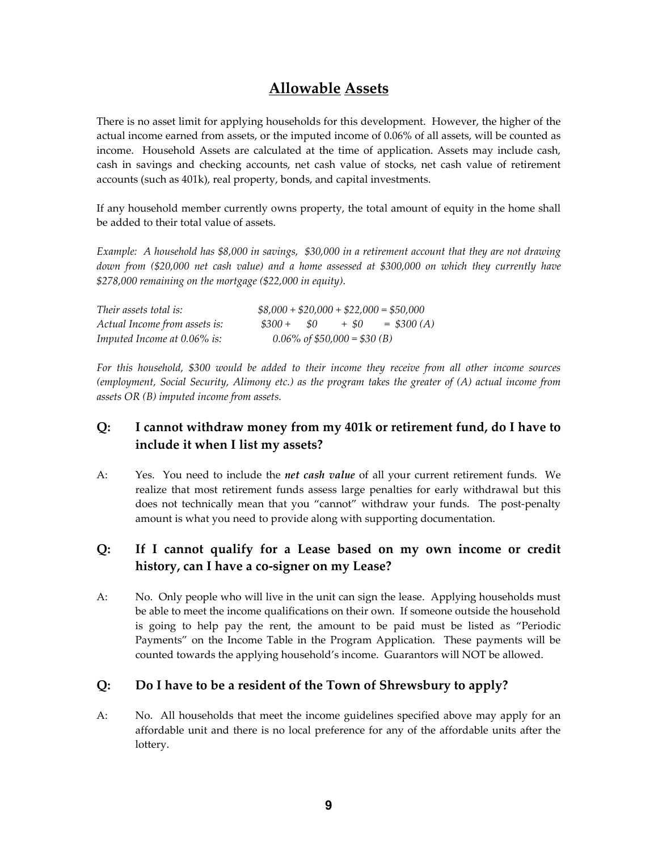## **Allowable Assets**

There is no asset limit for applying households for this development. However, the higher of the actual income earned from assets, or the imputed income of 0.06% of all assets, will be counted as income. Household Assets are calculated at the time of application. Assets may include cash, cash in savings and checking accounts, net cash value of stocks, net cash value of retirement accounts (such as 401k), real property, bonds, and capital investments.

If any household member currently owns property, the total amount of equity in the home shall be added to their total value of assets.

*Example: A household has \$8,000 in savings, \$30,000 in a retirement account that they are not drawing down from (\$20,000 net cash value) and a home assessed at \$300,000 on which they currently have \$278,000 remaining on the mortgage (\$22,000 in equity).*

| Their assets total is:        |         |     |                                 | $$8,000 + $20,000 + $22,000 = $50,000$ |
|-------------------------------|---------|-----|---------------------------------|----------------------------------------|
| Actual Income from assets is: | $$300+$ | -50 | $+$ \$0                         | $=$ \$300 (A)                          |
| Imputed Income at 0.06% is:   |         |     | $0.06\%$ of \$50,000 = \$30 (B) |                                        |

*For this household, \$300 would be added to their income they receive from all other income sources (employment, Social Security, Alimony etc.) as the program takes the greater of (A) actual income from assets OR (B) imputed income from assets.*

#### **Q: I cannot withdraw money from my 401k or retirement fund, do I have to include it when I list my assets?**

A: Yes. You need to include the *net cash value* of all your current retirement funds. We realize that most retirement funds assess large penalties for early withdrawal but this does not technically mean that you "cannot" withdraw your funds. The post-penalty amount is what you need to provide along with supporting documentation.

#### **Q: If I cannot qualify for a Lease based on my own income or credit history, can I have a co-signer on my Lease?**

A: No. Only people who will live in the unit can sign the lease. Applying households must be able to meet the income qualifications on their own. If someone outside the household is going to help pay the rent, the amount to be paid must be listed as "Periodic Payments" on the Income Table in the Program Application. These payments will be counted towards the applying household's income. Guarantors will NOT be allowed.

#### **Q: Do I have to be a resident of the Town of Shrewsbury to apply?**

A: No. All households that meet the income guidelines specified above may apply for an affordable unit and there is no local preference for any of the affordable units after the lottery.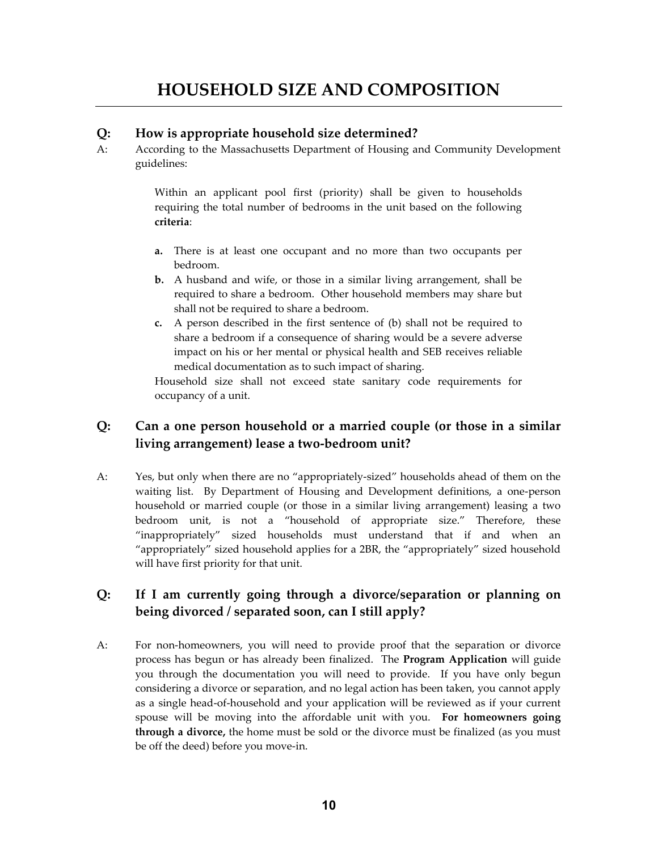# **HOUSEHOLD SIZE AND COMPOSITION**

#### **Q: How is appropriate household size determined?**

A: According to the Massachusetts Department of Housing and Community Development guidelines:

> Within an applicant pool first (priority) shall be given to households requiring the total number of bedrooms in the unit based on the following **criteria**:

- **a.** There is at least one occupant and no more than two occupants per bedroom.
- **b.** A husband and wife, or those in a similar living arrangement, shall be required to share a bedroom. Other household members may share but shall not be required to share a bedroom.
- **c.** A person described in the first sentence of (b) shall not be required to share a bedroom if a consequence of sharing would be a severe adverse impact on his or her mental or physical health and SEB receives reliable medical documentation as to such impact of sharing.

Household size shall not exceed state sanitary code requirements for occupancy of a unit.

#### **Q: Can a one person household or a married couple (or those in a similar living arrangement) lease a two-bedroom unit?**

A: Yes, but only when there are no "appropriately-sized" households ahead of them on the waiting list. By Department of Housing and Development definitions, a one-person household or married couple (or those in a similar living arrangement) leasing a two bedroom unit, is not a "household of appropriate size." Therefore, these "inappropriately" sized households must understand that if and when an "appropriately" sized household applies for a 2BR, the "appropriately" sized household will have first priority for that unit.

#### **Q: If I am currently going through a divorce/separation or planning on being divorced / separated soon, can I still apply?**

A: For non-homeowners, you will need to provide proof that the separation or divorce process has begun or has already been finalized. The **Program Application** will guide you through the documentation you will need to provide. If you have only begun considering a divorce or separation, and no legal action has been taken, you cannot apply as a single head-of-household and your application will be reviewed as if your current spouse will be moving into the affordable unit with you. **For homeowners going through a divorce,** the home must be sold or the divorce must be finalized (as you must be off the deed) before you move-in.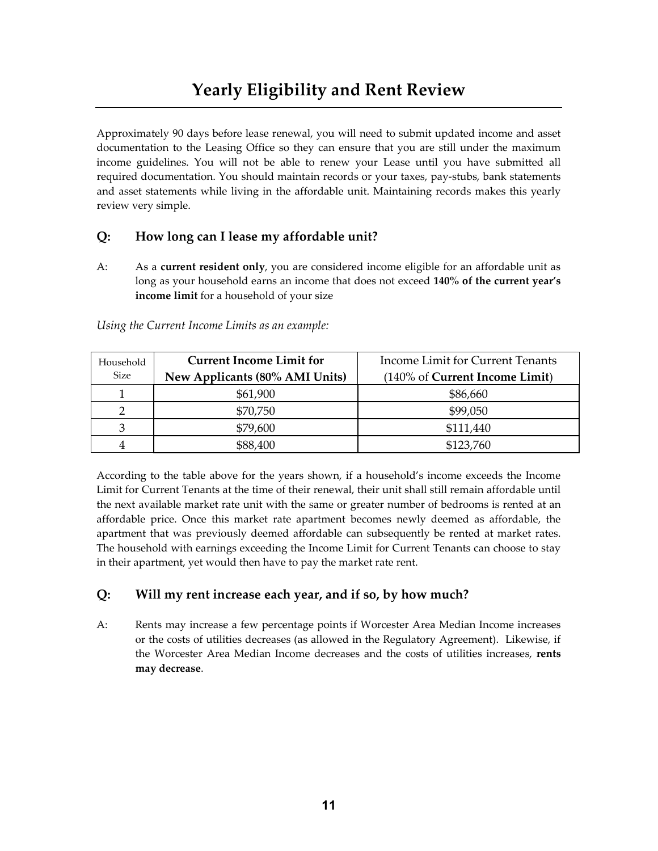Approximately 90 days before lease renewal, you will need to submit updated income and asset documentation to the Leasing Office so they can ensure that you are still under the maximum income guidelines. You will not be able to renew your Lease until you have submitted all required documentation. You should maintain records or your taxes, pay-stubs, bank statements and asset statements while living in the affordable unit. Maintaining records makes this yearly review very simple.

#### **Q: How long can I lease my affordable unit?**

A: As a **current resident only**, you are considered income eligible for an affordable unit as long as your household earns an income that does not exceed **140% of the current year's income limit** for a household of your size

| Household<br>Size | <b>Current Income Limit for</b><br>New Applicants (80% AMI Units) | Income Limit for Current Tenants<br>(140% of Current Income Limit) |
|-------------------|-------------------------------------------------------------------|--------------------------------------------------------------------|
|                   | \$61,900                                                          | \$86,660                                                           |
|                   | \$70,750                                                          | \$99,050                                                           |
| 3                 | \$79,600                                                          | \$111,440                                                          |
| 4                 | \$88,400                                                          | \$123,760                                                          |

*Using the Current Income Limits as an example:*

According to the table above for the years shown, if a household's income exceeds the Income Limit for Current Tenants at the time of their renewal, their unit shall still remain affordable until the next available market rate unit with the same or greater number of bedrooms is rented at an affordable price. Once this market rate apartment becomes newly deemed as affordable, the apartment that was previously deemed affordable can subsequently be rented at market rates. The household with earnings exceeding the Income Limit for Current Tenants can choose to stay in their apartment, yet would then have to pay the market rate rent.

#### **Q: Will my rent increase each year, and if so, by how much?**

A: Rents may increase a few percentage points if Worcester Area Median Income increases or the costs of utilities decreases (as allowed in the Regulatory Agreement). Likewise, if the Worcester Area Median Income decreases and the costs of utilities increases, **rents may decrease**.